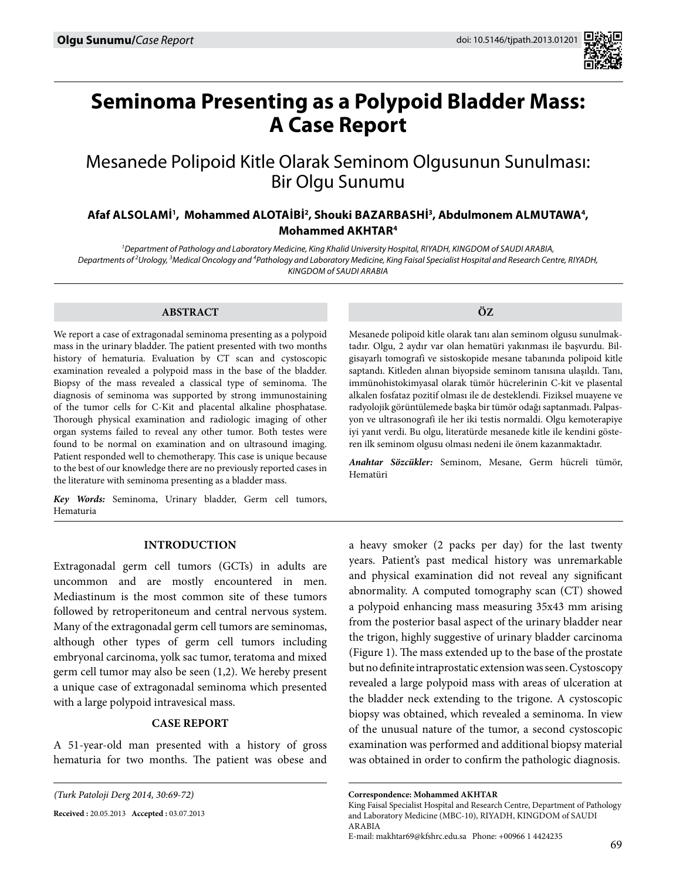

# **Seminoma Presenting as a Polypoid Bladder Mass: A Case Report**

## Mesanede Polipoid Kitle Olarak Seminom Olgusunun Sunulması: Bir Olgu Sunumu

### Afaf ALSOLAMİ', Mohammed ALOTAİBİ<sup>2</sup>, Shouki BAZARBASHİ<sup>3</sup>, Abdulmonem ALMUTAWA<sup>4</sup>, **Mohammed AKHTAR<sup>4</sup>**

*1 Department of Pathology and Laboratory Medicine, King Khalid University Hospital, Riyadh, Kingdom of Saudi Arabia,*  Departments of <sup>2</sup>Urology, <sup>3</sup>Medical Oncology and <sup>4</sup>Pathology and Laboratory Medicine, King Faisal Specialist Hospital and Research Centre, RIYADH, *Kingdom of Saudi Arabia*

#### **ABSTRACT**

We report a case of extragonadal seminoma presenting as a polypoid mass in the urinary bladder. The patient presented with two months history of hematuria. Evaluation by CT scan and cystoscopic examination revealed a polypoid mass in the base of the bladder. Biopsy of the mass revealed a classical type of seminoma. The diagnosis of seminoma was supported by strong immunostaining of the tumor cells for C-Kit and placental alkaline phosphatase. Thorough physical examination and radiologic imaging of other organ systems failed to reveal any other tumor. Both testes were found to be normal on examination and on ultrasound imaging. Patient responded well to chemotherapy. This case is unique because to the best of our knowledge there are no previously reported cases in the literature with seminoma presenting as a bladder mass.

*Key Words:* Seminoma, Urinary bladder, Germ cell tumors, Hematuria

**ÖZ**

Mesanede polipoid kitle olarak tanı alan seminom olgusu sunulmaktadır. Olgu, 2 aydır var olan hematüri yakınması ile başvurdu. Bilgisayarlı tomografi ve sistoskopide mesane tabanında polipoid kitle saptandı. Kitleden alınan biyopside seminom tanısına ulaşıldı. Tanı, immünohistokimyasal olarak tümör hücrelerinin C-kit ve plasental alkalen fosfataz pozitif olması ile de desteklendi. Fiziksel muayene ve radyolojik görüntülemede başka bir tümör odağı saptanmadı. Palpasyon ve ultrasonografi ile her iki testis normaldi. Olgu kemoterapiye iyi yanıt verdi. Bu olgu, literatürde mesanede kitle ile kendini gösteren ilk seminom olgusu olması nedeni ile önem kazanmaktadır.

*Anahtar Sözcükler:* Seminom, Mesane, Germ hücreli tümör, Hematüri

#### **Introduction**

Extragonadal germ cell tumors (GCTs) in adults are uncommon and are mostly encountered in men. Mediastinum is the most common site of these tumors followed by retroperitoneum and central nervous system. Many of the extragonadal germ cell tumors are seminomas, although other types of germ cell tumors including embryonal carcinoma, yolk sac tumor, teratoma and mixed germ cell tumor may also be seen (1,2). We hereby present a unique case of extragonadal seminoma which presented with a large polypoid intravesical mass.

#### **Case report**

A 51-year-old man presented with a history of gross hematuria for two months. The patient was obese and

**Received :** 20.05.2013 **Accepted :** 03.07.2013

a heavy smoker (2 packs per day) for the last twenty years. Patient's past medical history was unremarkable and physical examination did not reveal any significant abnormality. A computed tomography scan (CT) showed a polypoid enhancing mass measuring 35x43 mm arising from the posterior basal aspect of the urinary bladder near the trigon, highly suggestive of urinary bladder carcinoma (Figure 1). The mass extended up to the base of the prostate but no definite intraprostatic extension was seen. Cystoscopy revealed a large polypoid mass with areas of ulceration at the bladder neck extending to the trigone. A cystoscopic biopsy was obtained, which revealed a seminoma. In view of the unusual nature of the tumor, a second cystoscopic examination was performed and additional biopsy material was obtained in order to confirm the pathologic diagnosis.

*<sup>(</sup>Turk Patoloji Derg 2014, 30:69-72)*

**Correspondence: Mohammed AKHTAR** 

King Faisal Specialist Hospital and Research Centre, Department of Pathology and Laboratory Medicine (MBC-10), RIYADH, KINGDOM of SAUDI **ARABIA** 

E-mail: makhtar69@kfshrc.edu.sa Phone: +00966 1 4424235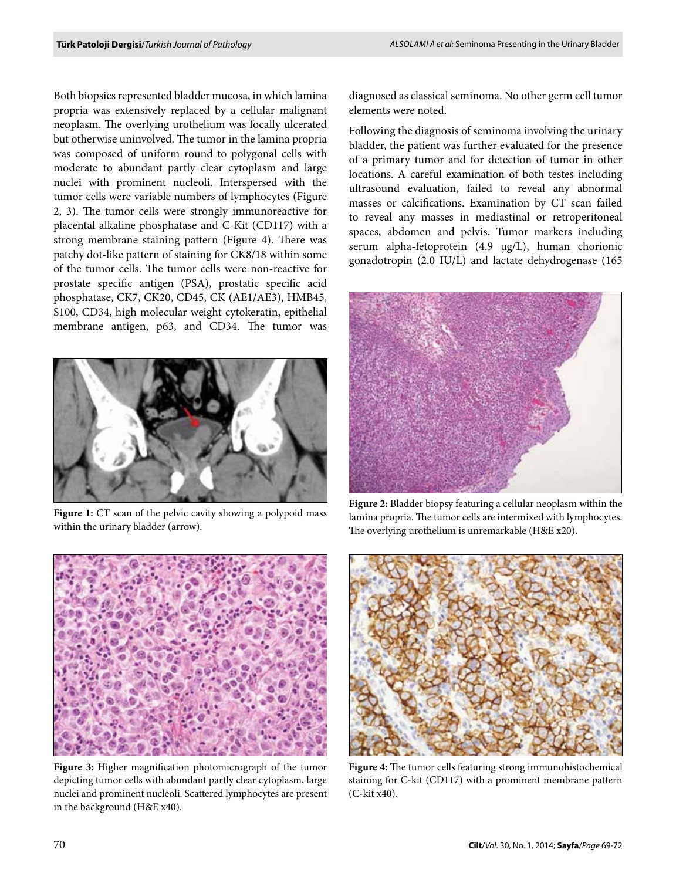Both biopsies represented bladder mucosa, in which lamina propria was extensively replaced by a cellular malignant neoplasm. The overlying urothelium was focally ulcerated but otherwise uninvolved. The tumor in the lamina propria was composed of uniform round to polygonal cells with moderate to abundant partly clear cytoplasm and large nuclei with prominent nucleoli. Interspersed with the tumor cells were variable numbers of lymphocytes (Figure 2, 3). The tumor cells were strongly immunoreactive for placental alkaline phosphatase and C-Kit (CD117) with a strong membrane staining pattern (Figure 4). There was patchy dot-like pattern of staining for CK8/18 within some of the tumor cells. The tumor cells were non-reactive for prostate specific antigen (PSA), prostatic specific acid phosphatase, CK7, CK20, CD45, CK (AE1/AE3), HMB45, S100, CD34, high molecular weight cytokeratin, epithelial membrane antigen, p63, and CD34. The tumor was



Figure 1: CT scan of the pelvic cavity showing a polypoid mass within the urinary bladder (arrow).

diagnosed as classical seminoma. No other germ cell tumor elements were noted.

Following the diagnosis of seminoma involving the urinary bladder, the patient was further evaluated for the presence of a primary tumor and for detection of tumor in other locations. A careful examination of both testes including ultrasound evaluation, failed to reveal any abnormal masses or calcifications. Examination by CT scan failed to reveal any masses in mediastinal or retroperitoneal spaces, abdomen and pelvis. Tumor markers including serum alpha-fetoprotein (4.9 µg/L), human chorionic gonadotropin (2.0 IU/L) and lactate dehydrogenase (165



**Figure 2:** Bladder biopsy featuring a cellular neoplasm within the lamina propria. The tumor cells are intermixed with lymphocytes. The overlying urothelium is unremarkable (H&E x20).



**Figure 3:** Higher magnification photomicrograph of the tumor depicting tumor cells with abundant partly clear cytoplasm, large nuclei and prominent nucleoli. Scattered lymphocytes are present in the background (H&E x40).



**Figure 4:** The tumor cells featuring strong immunohistochemical staining for C-kit (CD117) with a prominent membrane pattern (C-kit x40).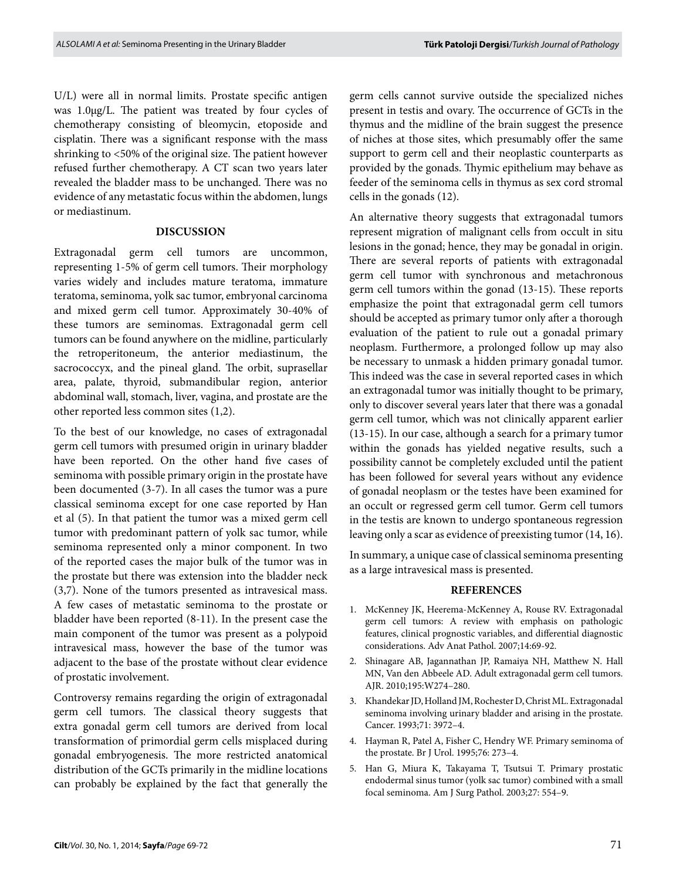U/L) were all in normal limits. Prostate specific antigen was 1.0µg/L. The patient was treated by four cycles of chemotherapy consisting of bleomycin, etoposide and cisplatin. There was a significant response with the mass shrinking to <50% of the original size. The patient however refused further chemotherapy. A CT scan two years later revealed the bladder mass to be unchanged. There was no evidence of any metastatic focus within the abdomen, lungs or mediastinum.

#### **Discussion**

Extragonadal germ cell tumors are uncommon, representing 1-5% of germ cell tumors. Their morphology varies widely and includes mature teratoma, immature teratoma, seminoma, yolk sac tumor, embryonal carcinoma and mixed germ cell tumor. Approximately 30-40% of these tumors are seminomas. Extragonadal germ cell tumors can be found anywhere on the midline, particularly the retroperitoneum, the anterior mediastinum, the sacrococcyx, and the pineal gland. The orbit, suprasellar area, palate, thyroid, submandibular region, anterior abdominal wall, stomach, liver, vagina, and prostate are the other reported less common sites (1,2).

To the best of our knowledge, no cases of extragonadal germ cell tumors with presumed origin in urinary bladder have been reported. On the other hand five cases of seminoma with possible primary origin in the prostate have been documented (3-7). In all cases the tumor was a pure classical seminoma except for one case reported by Han et al (5). In that patient the tumor was a mixed germ cell tumor with predominant pattern of yolk sac tumor, while seminoma represented only a minor component. In two of the reported cases the major bulk of the tumor was in the prostate but there was extension into the bladder neck (3,7). None of the tumors presented as intravesical mass. A few cases of metastatic seminoma to the prostate or bladder have been reported (8-11). In the present case the main component of the tumor was present as a polypoid intravesical mass, however the base of the tumor was adjacent to the base of the prostate without clear evidence of prostatic involvement.

Controversy remains regarding the origin of extragonadal germ cell tumors. The classical theory suggests that extra gonadal germ cell tumors are derived from local transformation of primordial germ cells misplaced during gonadal embryogenesis. The more restricted anatomical distribution of the GCTs primarily in the midline locations can probably be explained by the fact that generally the germ cells cannot survive outside the specialized niches present in testis and ovary. The occurrence of GCTs in the thymus and the midline of the brain suggest the presence of niches at those sites, which presumably offer the same support to germ cell and their neoplastic counterparts as provided by the gonads. Thymic epithelium may behave as feeder of the seminoma cells in thymus as sex cord stromal cells in the gonads (12).

An alternative theory suggests that extragonadal tumors represent migration of malignant cells from occult in situ lesions in the gonad; hence, they may be gonadal in origin. There are several reports of patients with extragonadal germ cell tumor with synchronous and metachronous germ cell tumors within the gonad (13-15). These reports emphasize the point that extragonadal germ cell tumors should be accepted as primary tumor only after a thorough evaluation of the patient to rule out a gonadal primary neoplasm. Furthermore, a prolonged follow up may also be necessary to unmask a hidden primary gonadal tumor. This indeed was the case in several reported cases in which an extragonadal tumor was initially thought to be primary, only to discover several years later that there was a gonadal germ cell tumor, which was not clinically apparent earlier (13-15). In our case, although a search for a primary tumor within the gonads has yielded negative results, such a possibility cannot be completely excluded until the patient has been followed for several years without any evidence of gonadal neoplasm or the testes have been examined for an occult or regressed germ cell tumor. Germ cell tumors in the testis are known to undergo spontaneous regression leaving only a scar as evidence of preexisting tumor (14, 16).

In summary, a unique case of classical seminoma presenting as a large intravesical mass is presented.

#### **REFERENCES**

- 1. McKenney JK, Heerema-McKenney A, Rouse RV. Extragonadal germ cell tumors: A review with emphasis on pathologic features, clinical prognostic variables, and differential diagnostic considerations. Adv Anat Pathol. 2007;14:69-92.
- 2. Shinagare AB, Jagannathan JP, Ramaiya NH, Matthew N. Hall MN, Van den Abbeele AD. Adult extragonadal germ cell tumors. AJR. 2010;195:W274–280.
- 3. Khandekar JD, Holland JM, Rochester D, Christ ML. Extragonadal seminoma involving urinary bladder and arising in the prostate. Cancer. 1993;71: 3972–4.
- 4. Hayman R, Patel A, Fisher C, Hendry WF. Primary seminoma of the prostate. Br J Urol. 1995;76: 273–4.
- 5. Han G, Miura K, Takayama T, Tsutsui T. Primary prostatic endodermal sinus tumor (yolk sac tumor) combined with a small focal seminoma. Am J Surg Pathol. 2003;27: 554–9.